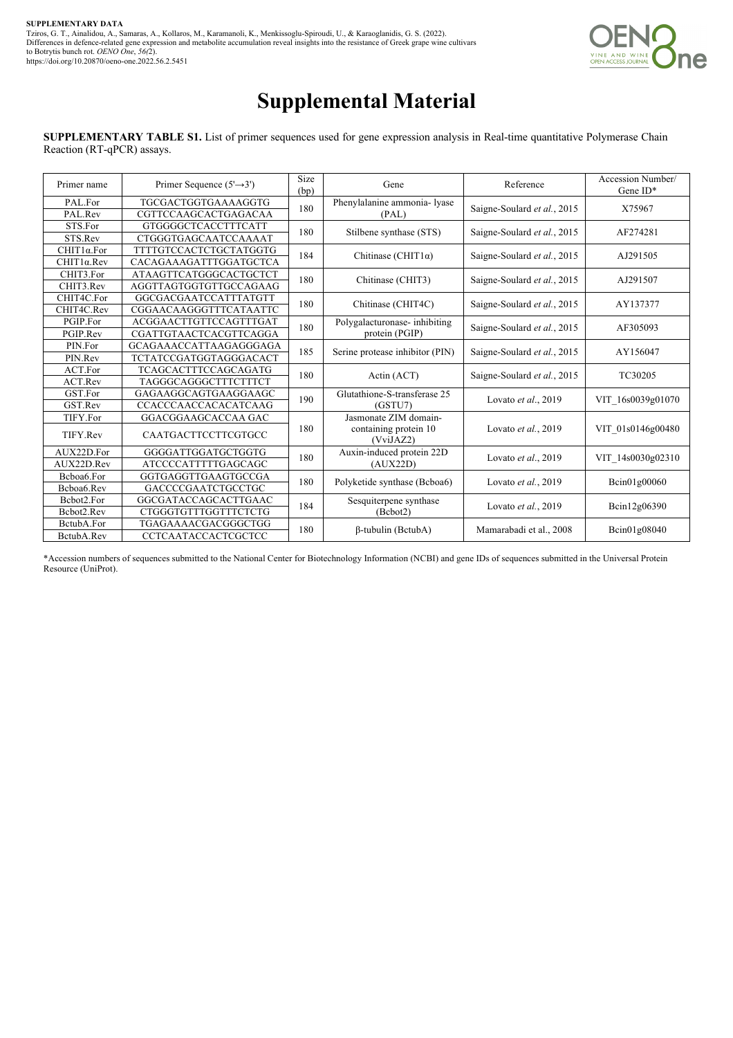

## **Supplemental Material**

**SUPPLEMENTARY TABLE S1.** List of primer sequences used for gene expression analysis in Real-time quantitative Polymerase Chain Reaction (RT-qPCR) assays.

| Primer name        | Primer Sequence $(5' \rightarrow 3')$ | Size<br>(bp) | Gene                                           | Reference                   | Accession Number/<br>Gene $ID^*$ |  |
|--------------------|---------------------------------------|--------------|------------------------------------------------|-----------------------------|----------------------------------|--|
| PAL.For            | <b>TGCGACTGGTGAAAAGGTG</b>            | 180          | Phenylalanine ammonia- lyase                   | Saigne-Soulard et al., 2015 | X75967                           |  |
| PAL.Rev            | CGTTCCAAGCACTGAGACAA                  |              | (PAL)                                          |                             |                                  |  |
| STS.For            | <b>GTGGGGCTCACCTTTCATT</b>            | 180          | Stilbene synthase (STS)                        | Saigne-Soulard et al., 2015 | AF274281                         |  |
| STS.Rev            | CTGGGTGAGCAATCCAAAAT                  |              |                                                |                             |                                  |  |
| CHIT1α.For         | TTTTGTCCACTCTGCTATGGTG                | 184          | Chitinase (CHIT1 $\alpha$ )                    | Saigne-Soulard et al., 2015 | AJ291505                         |  |
| $CHIT1\alpha$ .Rev | CACAGAAAGATTTGGATGCTCA                |              |                                                |                             |                                  |  |
| CHIT3.For          | <b>ATAAGTTCATGGGCACTGCTCT</b>         | 180          | Chitinase (CHIT3)                              | Saigne-Soulard et al., 2015 | AJ291507                         |  |
| CHIT3.Rev          | AGGTTAGTGGTGTTGCCAGAAG                |              |                                                |                             |                                  |  |
| CHIT4C.For         | GGCGACGAATCCATTTATGTT                 | 180          | Chitinase (CHIT4C)                             | Saigne-Soulard et al., 2015 | AY137377                         |  |
| CHIT4C.Rev         | CGGAACAAGGGTTTCATAATTC                |              |                                                |                             |                                  |  |
| PGIP.For           | ACGGAACTTGTTCCAGTTTGAT                | 180          | Polygalacturonase-inhibiting<br>protein (PGIP) | Saigne-Soulard et al., 2015 | AF305093                         |  |
| PGIP.Rev           | CGATTGTAACTCACGTTCAGGA                |              |                                                |                             |                                  |  |
| PIN.For            | GCAGAAACCATTAAGAGGGAGA                | 185          | Serine protease inhibitor (PIN)                | Saigne-Soulard et al., 2015 | AY156047                         |  |
| PIN.Rev            | TCTATCCGATGGTAGGGACACT                |              |                                                |                             |                                  |  |
| ACT.For            | <b>TCAGCACTTTCCAGCAGATG</b>           | 180          | Actin (ACT)                                    | Saigne-Soulard et al., 2015 | TC30205                          |  |
| ACT.Rev            | TAGGGCAGGGCTTTCTTTCT                  |              |                                                |                             |                                  |  |
| GST.For            | GAGAAGGCAGTGAAGGAAGC                  | 190          | Glutathione-S-transferase 25                   | Lovato et al., 2019         | VIT 16s0039g01070                |  |
| GST.Rev            | CCACCCAACCACACATCAAG                  |              | (GSTU7)                                        |                             |                                  |  |
| TIFY.For           | GGACGGAAGCACCAA GAC                   |              | Jasmonate ZIM domain-                          |                             |                                  |  |
| TIFY.Rev           | CAATGACTTCCTTCGTGCC                   | 180          | containing protein 10<br>(VviJAZ2)             | Lovato et al., 2019         | VIT 01s0146g00480                |  |
| AUX22D.For         | GGGGATTGGATGCTGGTG                    | 180          | Auxin-induced protein 22D                      | Lovato et al., 2019         | VIT 14s0030g02310                |  |
| AUX22D.Rev         | <b>ATCCCCATTTTTGAGCAGC</b>            |              | (AUX22D)                                       |                             |                                  |  |
| Bcboa6.For         | GGTGAGGTTGAAGTGCCGA                   | 180          | Polyketide synthase (Bcboa6)                   | Lovato et al., 2019         | Bcin01g00060                     |  |
| Bcboa6.Rev         | <b>GACCCCGAATCTGCCTGC</b>             |              |                                                |                             |                                  |  |
| Bcbot2.For         | GGCGATACCAGCACTTGAAC                  | 184          | Sesquiterpene synthase                         | Lovato et al., 2019         | Bcin12g06390                     |  |
| Bcbot2.Rev         | <b>CTGGGTGTTTGGTTTCTCTG</b>           |              | (Bebot2)                                       |                             |                                  |  |
| BctubA.For         | TGAGAAAACGACGGGCTGG                   | 180          | $\beta$ -tubulin (BctubA)                      | Mamarabadi et al., 2008     | Bcin01g08040                     |  |
| BctubA.Rev         | CCTCAATACCACTCGCTCC                   |              |                                                |                             |                                  |  |

\*Accession numbers of sequences submitted to the National Center for Biotechnology Information (NCBI) and gene IDs of sequences submitted in the Universal Protein Resource (UniProt).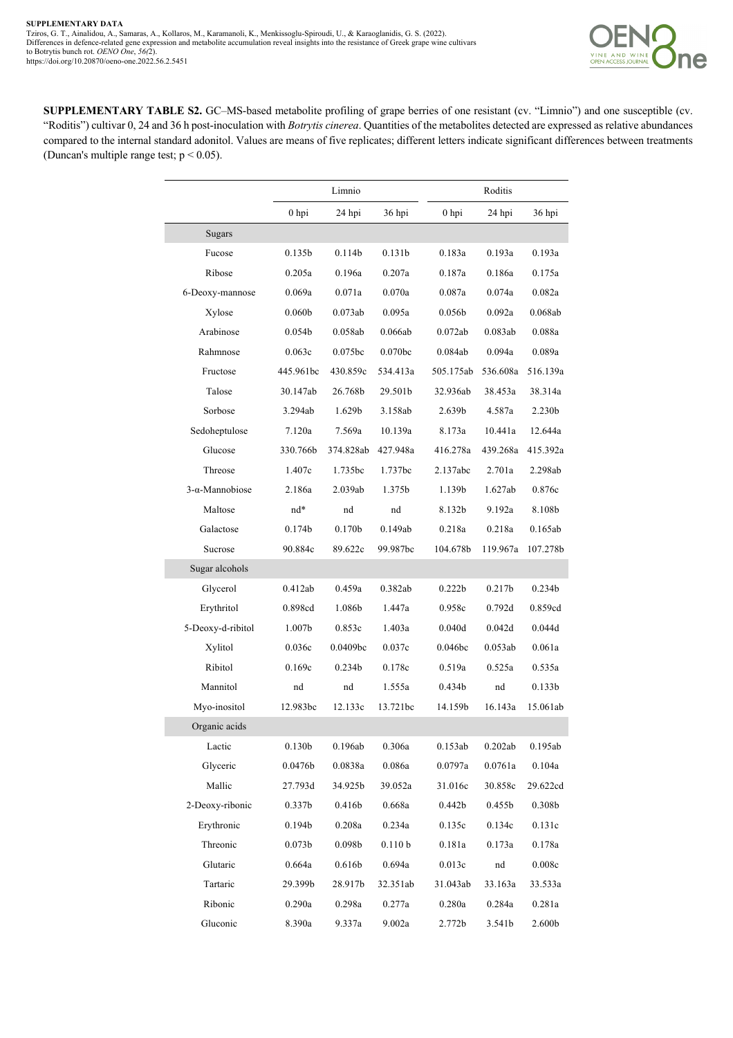

**SUPPLEMENTARY TABLE S2.** GC–MS-based metabolite profiling of grape berries of one resistant (cv. "Limnio") and one susceptible (cv. "Roditis") cultivar 0, 24 and 36 h post-inoculation with *Botrytis cinerea*. Quantities of the metabolites detected are expressed as relative abundances compared to the internal standard adonitol. Values are means of five replicates; different letters indicate significant differences between treatments (Duncan's multiple range test;  $p < 0.05$ ).

|                        | Limnio             |                    |                     |                    | Roditis            |                    |  |
|------------------------|--------------------|--------------------|---------------------|--------------------|--------------------|--------------------|--|
|                        | $0$ hpi            | 24 hpi             | 36 hpi              | $0$ hpi            | 24 hpi             | 36 hpi             |  |
| Sugars                 |                    |                    |                     |                    |                    |                    |  |
| Fucose                 | 0.135b             | 0.114b             | 0.131 <sub>b</sub>  | 0.183a             | 0.193a             | 0.193a             |  |
| Ribose                 | 0.205a             | 0.196a             | 0.207a              | 0.187a             | 0.186a             | 0.175a             |  |
| 6-Deoxy-mannose        | 0.069a             | 0.071a             | 0.070a              | 0.087a             | 0.074a             | 0.082a             |  |
| Xylose                 | 0.060 <sub>b</sub> | 0.073ab            | 0.095a              | 0.056 <sub>b</sub> | 0.092a             | 0.068ab            |  |
| Arabinose              | 0.054 <sub>b</sub> | 0.058ab            | 0.066ab             | 0.072ab            | 0.083ab            | 0.088a             |  |
| Rahmnose               | 0.063c             | 0.075bc            | 0.070 <sub>bc</sub> | 0.084ab            | 0.094a             | 0.089a             |  |
| Fructose               | 445.961bc          | 430.859c           | 534.413a            | 505.175ab          | 536.608a           | 516.139a           |  |
| Talose                 | 30.147ab           | 26.768b            | 29.501b             | 32.936ab           | 38.453a            | 38.314a            |  |
| Sorbose                | 3.294ab            | 1.629 <sub>b</sub> | 3.158ab             | 2.639b             | 4.587a             | 2.230 <sub>b</sub> |  |
| Sedoheptulose          | 7.120a             | 7.569a             | 10.139a             | 8.173a             | 10.441a            | 12.644a            |  |
| Glucose                | 330.766b           | 374.828ab          | 427.948a            | 416.278a           | 439.268a           | 415.392a           |  |
| Threose                | 1.407c             | 1.735bc            | 1.737bc             | 2.137abc           | 2.701a             | 2.298ab            |  |
| $3-\alpha$ -Mannobiose | 2.186a             | 2.039ab            | 1.375b              | 1.139b             | 1.627ab            | 0.876c             |  |
| Maltose                | nd*                | nd                 | nd                  | 8.132b             | 9.192a             | 8.108b             |  |
| Galactose              | 0.174 <sub>b</sub> | 0.170 <sub>b</sub> | 0.149ab             | 0.218a             | 0.218a             | 0.165ab            |  |
| Sucrose                | 90.884c            | 89.622c            | 99.987bc            | 104.678b           | 119.967a           | 107.278b           |  |
| Sugar alcohols         |                    |                    |                     |                    |                    |                    |  |
| Glycerol               | 0.412ab            | 0.459a             | 0.382ab             | 0.222b             | 0.217 <sub>b</sub> | 0.234 <sub>b</sub> |  |
| Erythritol             | 0.898cd            | 1.086b             | 1.447a              | 0.958c             | 0.792d             | 0.859cd            |  |
| 5-Deoxy-d-ribitol      | 1.007 <sub>b</sub> | 0.853c             | 1.403a              | 0.040d             | 0.042d             | 0.044d             |  |
| Xylitol                | 0.036c             | 0.0409bc           | 0.037c              | 0.046bc            | 0.053ab            | 0.061a             |  |
| Ribitol                | 0.169c             | 0.234 <sub>b</sub> | 0.178c              | 0.519a             | 0.525a             | 0.535a             |  |
| Mannitol               | nd                 | nd                 | 1.555a              | 0.434 <sub>b</sub> | nd                 | 0.133 <sub>b</sub> |  |
| Myo-inositol           | 12.983bc           | 12.133c            | 13.721bc            | 14.159b            | 16.143a            | 15.061ab           |  |
| Organic acids          |                    |                    |                     |                    |                    |                    |  |
| Lactic                 | 0.130b             | 0.196ab            | 0.306a              | 0.153ab            | 0.202ab            | 0.195ab            |  |
| Glyceric               | 0.0476b            | 0.0838a            | 0.086a              | 0.0797a            | 0.0761a            | 0.104a             |  |
| Mallic                 | 27.793d            | 34.925b            | 39.052a             | 31.016c            | 30.858c            | 29.622cd           |  |
| 2-Deoxy-ribonic        | 0.337 <sub>b</sub> | 0.416 <sub>b</sub> | 0.668a              | 0.442 <sub>b</sub> | 0.455b             | 0.308 <sub>b</sub> |  |
| Erythronic             | 0.194b             | 0.208a             | 0.234a              | 0.135c             | 0.134c             | 0.131c             |  |
| Threonic               | 0.073 <sub>b</sub> | 0.098 <sub>b</sub> | 0.110 b             | 0.181a             | 0.173a             | 0.178a             |  |
| Glutaric               | 0.664a             | 0.616b             | 0.694a              | 0.013c             | nd                 | 0.008c             |  |
| Tartaric               | 29.399b            | 28.917b            | 32.351ab            | 31.043ab           | 33.163a            | 33.533a            |  |
| Ribonic                | 0.290a             | 0.298a             | 0.277a              | 0.280a             | 0.284a             | 0.281a             |  |
| Gluconic               | 8.390a             | 9.337a             | 9.002a              | 2.772b             | 3.541 <sub>b</sub> | 2.600b             |  |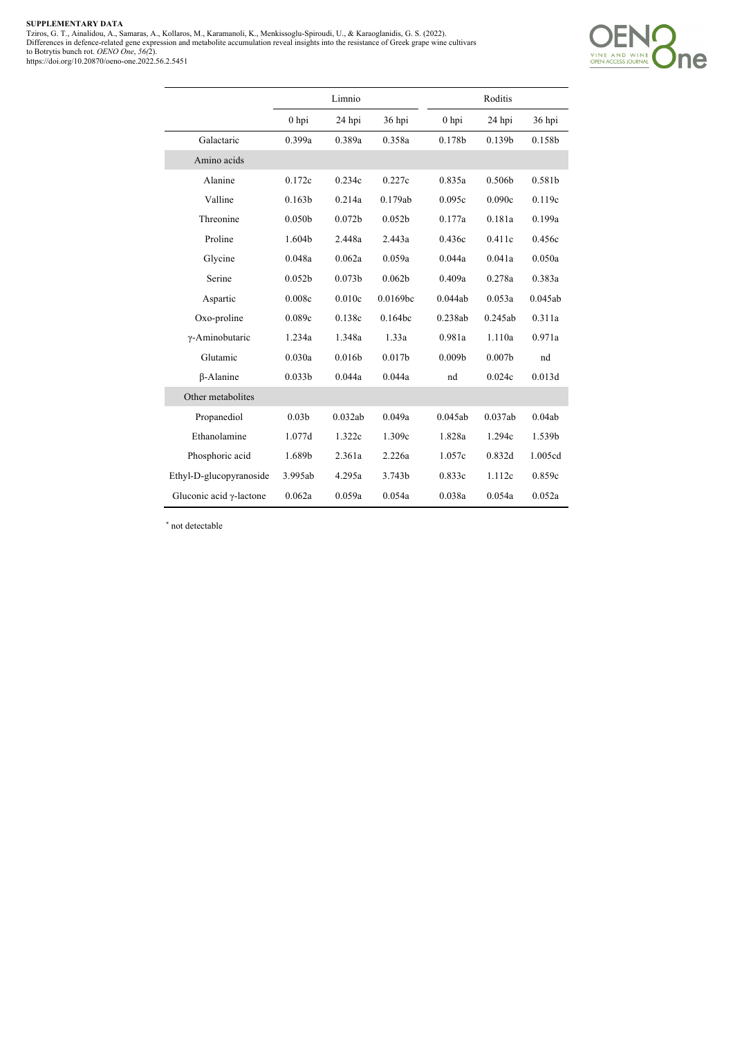SUPPLEMENTARY DATA<br>Tziros, G. T., Ainalidou, A., Samaras, A., Kollaros, M., Karamanoli, K., Menkissoglu-Spiroudi, U., & Karaoglanidis, G. S. (2022).<br>Differences in defience-related gene expression and metabolite accumulati



|                                 |                    | Limnio             |                    |                    | Roditis            |         |
|---------------------------------|--------------------|--------------------|--------------------|--------------------|--------------------|---------|
|                                 | $0$ hpi            | 24 hpi             | 36 hpi             | $0$ hpi            | 24 hpi             | 36 hpi  |
| Galactaric                      | 0.399a             | 0.389a             | 0.358a             | 0.178 <sub>b</sub> | 0.139 <sub>b</sub> | 0.158b  |
| Amino acids                     |                    |                    |                    |                    |                    |         |
| Alanine                         | 0.172c             | 0.234c             | 0.227c             | 0.835a             | 0.506b             | 0.581b  |
| Valline                         | 0.163 <sub>b</sub> | 0.214a             | 0.179ab            | 0.095c             | 0.090c             | 0.119c  |
| Threonine                       | 0.050 <sub>b</sub> | 0.072 <sub>b</sub> | 0.052 <sub>b</sub> | 0.177a             | 0.181a             | 0.199a  |
| Proline                         | 1.604b             | 2.448a             | 2.443a             | 0.436c             | 0.411c             | 0.456c  |
| Glycine                         | 0.048a             | 0.062a             | 0.059a             | 0.044a             | 0.041a             | 0.050a  |
| Serine                          | 0.052 <sub>b</sub> | 0.073 <sub>b</sub> | 0.062 <sub>b</sub> | 0.409a             | 0.278a             | 0.383a  |
| Aspartic                        | 0.008c             | 0.010c             | 0.0169bc           | 0.044ab            | 0.053a             | 0.045ab |
| Oxo-proline                     | 0.089c             | 0.138c             | 0.164bc            | 0.238ab            | 0.245ab            | 0.311a  |
| γ-Aminobutaric                  | 1.234a             | 1.348a             | 1.33a              | 0.981a             | 1.110a             | 0.971a  |
| Glutamic                        | 0.030a             | 0.016 <sub>b</sub> | 0.017 <sub>b</sub> | 0.009 <sub>b</sub> | 0.007 <sub>b</sub> | nd      |
| $\beta$ -Alanine                | 0.033 <sub>b</sub> | 0.044a             | 0.044a             | nd                 | 0.024c             | 0.013d  |
| Other metabolites               |                    |                    |                    |                    |                    |         |
| Propanediol                     | 0.03 <sub>b</sub>  | 0.032ab            | 0.049a             | 0.045ab            | 0.037ab            | 0.04ab  |
| Ethanolamine                    | 1.077d             | 1.322c             | 1.309c             | 1.828a             | 1.294c             | 1.539b  |
| Phosphoric acid                 | 1.689b             | 2.361a             | 2.226a             | 1.057c             | 0.832d             | 1.005cd |
| Ethyl-D-glucopyranoside         | 3.995ab            | 4.295a             | 3.743b             | 0.833c             | 1.112c             | 0.859c  |
| Gluconic acid $\gamma$ -lactone | 0.062a             | 0.059a             | 0.054a             | 0.038a             | 0.054a             | 0.052a  |

\* not detectable